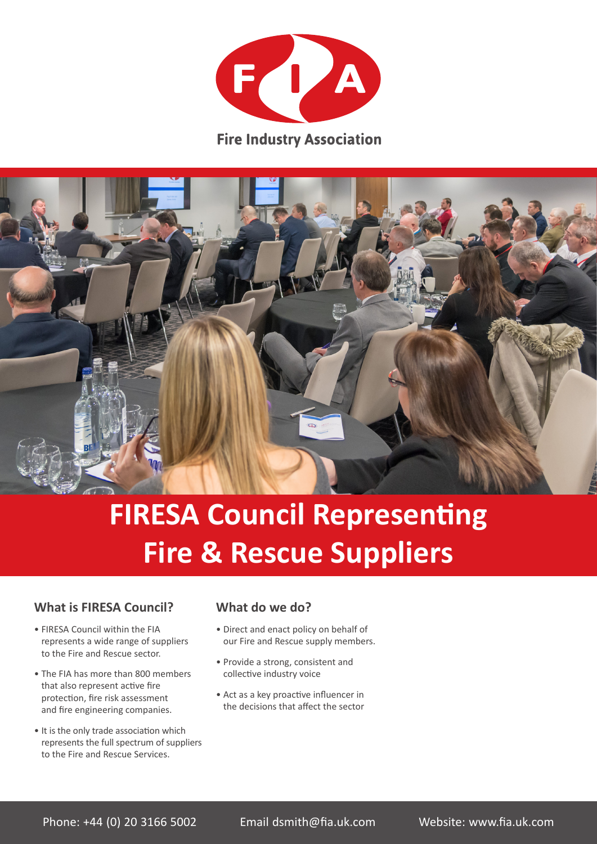

**Fire Industry Association** 



# **FIRESA Council Representing Fire & Rescue Suppliers**

#### **What is FIRESA Council?**

- FIRESA Council within the FIA represents a wide range of suppliers to the Fire and Rescue sector.
- The FIA has more than 800 members that also represent active fire protection, fire risk assessment and fire engineering companies.
- It is the only trade association which represents the full spectrum of suppliers to the Fire and Rescue Services.

#### **What do we do?**

- Direct and enact policy on behalf of our Fire and Rescue supply members.
- Provide a strong, consistent and collective industry voice
- Act as a key proactive influencer in the decisions that affect the sector